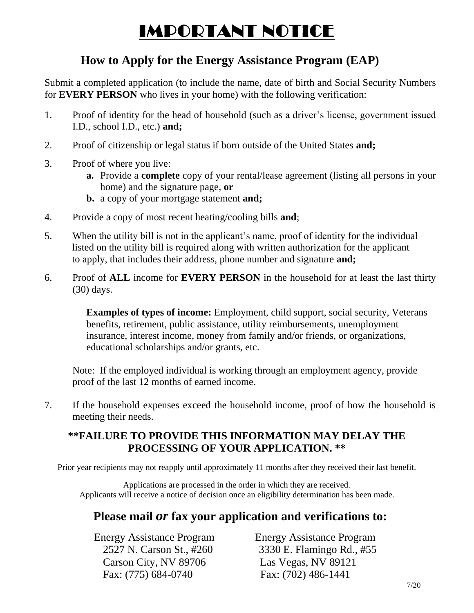# IMPORTANT NOTICE

# **How to Apply for the Energy Assistance Program (EAP)**

Submit a completed application (to include the name, date of birth and Social Security Numbers for **EVERY PERSON** who lives in your home) with the following verification:

- 1. Proof of identity for the head of household (such as a driver's license, government issued I.D., school I.D., etc.) **and;**
- 2. Proof of citizenship or legal status if born outside of the United States **and;**
- 3. Proof of where you live:
	- **a.** Provide a **complete** copy of your rental/lease agreement (listing all persons in your home) and the signature page, **or**
	- **b.** a copy of your mortgage statement **and;**
- 4. Provide a copy of most recent heating/cooling bills **and**;
- 5. When the utility bill is not in the applicant's name, proof of identity for the individual listed on the utility bill is required along with written authorization for the applicant to apply, that includes their address, phone number and signature **and;**
- 6. Proof of **ALL** income for **EVERY PERSON** in the household for at least the last thirty (30) days.

**Examples of types of income:** Employment, child support, social security, Veterans benefits, retirement, public assistance, utility reimbursements, unemployment insurance, interest income, money from family and/or friends, or organizations, educational scholarships and/or grants, etc.

Note: If the employed individual is working through an employment agency, provide proof of the last 12 months of earned income.

7. If the household expenses exceed the household income, proof of how the household is meeting their needs.

### **\*\*FAILURE TO PROVIDE THIS INFORMATION MAY DELAY THE PROCESSING OF YOUR APPLICATION. \*\***

Prior year recipients may not reapply until approximately 11 months after they received their last benefit.

Applications are processed in the order in which they are received. Applicants will receive a notice of decision once an eligibility determination has been made.

# **Please mail** *or* **fax your application and verifications to:**

 Carson City, NV 89706 Las Vegas, NV 89121 Fax: (775) 684-0740 Fax: (702) 486-1441

**Energy Assistance Program Energy Assistance Program** 2527 N. Carson St., #260 3330 E. Flamingo Rd., #55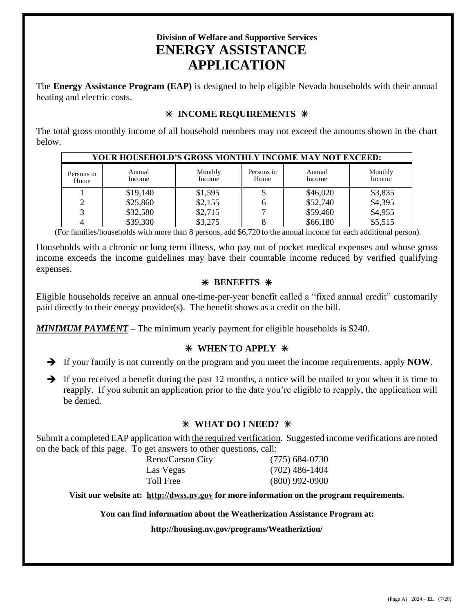## **Division of Welfare and Supportive Services ENERGY ASSISTANCE APPLICATION**

The **Energy Assistance Program (EAP)** is designed to help eligible Nevada households with their annual heating and electric costs.

### **INCOME REQUIREMENTS**

The total gross monthly income of all household members may not exceed the amounts shown in the chart below.

| YOUR HOUSEHOLD'S GROSS MONTHLY INCOME MAY NOT EXCEED: |                  |                   |                    |                  |                   |  |  |  |
|-------------------------------------------------------|------------------|-------------------|--------------------|------------------|-------------------|--|--|--|
| Persons in<br>Home                                    | Annual<br>Income | Monthly<br>Income | Persons in<br>Home | Annual<br>Income | Monthly<br>Income |  |  |  |
|                                                       | \$19,140         | \$1,595           |                    | \$46,020         | \$3,835           |  |  |  |
|                                                       | \$25,860         | \$2,155           |                    | \$52,740         | \$4,395           |  |  |  |
| $\mathbf{R}$                                          | \$32,580         | \$2,715           |                    | \$59,460         | \$4,955           |  |  |  |
|                                                       | \$39,300         | \$3,275           |                    | \$66,180         | \$5,515           |  |  |  |

(For families/households with more than 8 persons, add \$6,720 to the annual income for each additional person).

Households with a chronic or long term illness, who pay out of pocket medical expenses and whose gross income exceeds the income guidelines may have their countable income reduced by verified qualifying expenses.

### **BENEFITS**

Eligible households receive an annual one-time-per-year benefit called a "fixed annual credit" customarily paid directly to their energy provider(s). The benefit shows as a credit on the bill.

*MINIMUM PAYMENT* **–** The minimum yearly payment for eligible households is \$240.

### **WHEN TO APPLY**

- If your family is not currently on the program and you meet the income requirements, apply **NOW**.
- $\rightarrow$  If you received a benefit during the past 12 months, a notice will be mailed to you when it is time to reapply. If you submit an application prior to the date you're eligible to reapply, the application will be denied.

### **WHAT DO I NEED?**

Submit a completed EAP application with the required verification. Suggested income verifications are noted on the back of this page. To get answers to other questions, call:

| Reno/Carson City | $(775)$ 684-0730 |
|------------------|------------------|
| Las Vegas        | $(702)$ 486-1404 |
| Toll Free        | $(800)$ 992-0900 |

**Visit our website at: [http://dwss.nv.gov](http://dwss.nv.gov/) for more information on the program requirements.**

**You can find information about the Weatherization Assistance Program at:**

**http://housing.nv.gov/programs/Weatheriztion/**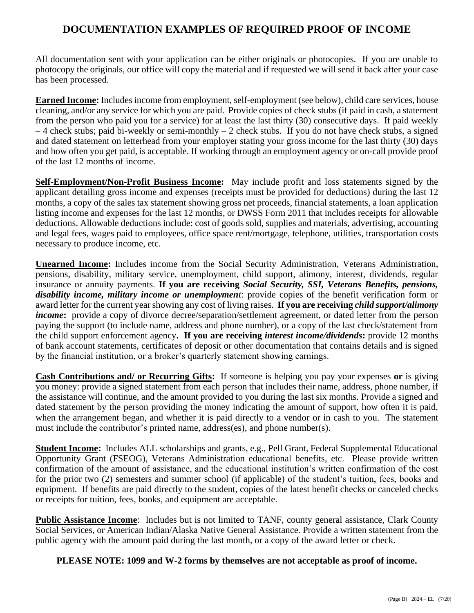### **DOCUMENTATION EXAMPLES OF REQUIRED PROOF OF INCOME**

All documentation sent with your application can be either originals or photocopies. If you are unable to photocopy the originals, our office will copy the material and if requested we will send it back after your case has been processed.

**Earned Income:** Includes income from employment, self-employment (see below), child care services, house cleaning, and/or any service for which you are paid. Provide copies of check stubs (if paid in cash, a statement from the person who paid you for a service) for at least the last thirty (30) consecutive days. If paid weekly  $-4$  check stubs; paid bi-weekly or semi-monthly  $-2$  check stubs. If you do not have check stubs, a signed and dated statement on letterhead from your employer stating your gross income for the last thirty (30) days and how often you get paid, is acceptable. If working through an employment agency or on-call provide proof of the last 12 months of income.

**Self-Employment/Non-Profit Business Income:** May include profit and loss statements signed by the applicant detailing gross income and expenses (receipts must be provided for deductions) during the last 12 months, a copy of the sales tax statement showing gross net proceeds, financial statements, a loan application listing income and expenses for the last 12 months, or DWSS Form 2011 that includes receipts for allowable deductions. Allowable deductions include: cost of goods sold, supplies and materials, advertising, accounting and legal fees, wages paid to employees, office space rent/mortgage, telephone, utilities, transportation costs necessary to produce income, etc.

**Unearned Income:** Includes income from the Social Security Administration, Veterans Administration, pensions, disability, military service, unemployment, child support, alimony, interest, dividends, regular insurance or annuity payments. **If you are receiving** *Social Security, SSI, Veterans Benefits, pensions, disability income, military income or unemployment*: provide copies of the benefit verification form or award letter for the current year showing any cost of living raises. **If you are receiving** *child support/alimony income*: provide a copy of divorce decree/separation/settlement agreement, or dated letter from the person paying the support (to include name, address and phone number), or a copy of the last check/statement from the child support enforcement agency**. If you are receiving** *interest income/dividends***:** provide 12 months of bank account statements, certificates of deposit or other documentation that contains details and is signed by the financial institution, or a broker's quarterly statement showing earnings.

**Cash Contributions and/ or Recurring Gifts:** If someone is helping you pay your expenses **or** is giving you money: provide a signed statement from each person that includes their name, address, phone number, if the assistance will continue, and the amount provided to you during the last six months. Provide a signed and dated statement by the person providing the money indicating the amount of support, how often it is paid, when the arrangement began, and whether it is paid directly to a vendor or in cash to you. The statement must include the contributor's printed name, address(es), and phone number(s).

**Student Income:** Includes ALL scholarships and grants, e.g., Pell Grant, Federal Supplemental Educational Opportunity Grant (FSEOG), Veterans Administration educational benefits, etc. Please provide written confirmation of the amount of assistance, and the educational institution's written confirmation of the cost for the prior two (2) semesters and summer school (if applicable) of the student's tuition, fees, books and equipment. If benefits are paid directly to the student, copies of the latest benefit checks or canceled checks or receipts for tuition, fees, books, and equipment are acceptable.

**Public Assistance Income**: Includes but is not limited to TANF, county general assistance, Clark County Social Services, or American Indian/Alaska Native General Assistance. Provide a written statement from the public agency with the amount paid during the last month, or a copy of the award letter or check.

**PLEASE NOTE: 1099 and W-2 forms by themselves are not acceptable as proof of income.**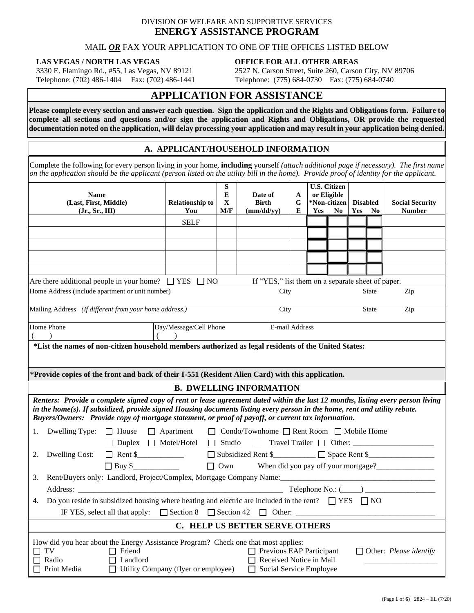### DIVISION OF WELFARE AND SUPPORTIVE SERVICES **ENERGY ASSISTANCE PROGRAM**

#### MAIL *OR* FAX YOUR APPLICATION TO ONE OF THE OFFICES LISTED BELOW

#### **LAS VEGAS / NORTH LAS VEGAS**

3330 E. Flamingo Rd., #55, Las Vegas, NV 89121 Telephone: (702) 486-1404 Fax: (702) 486-1441 **OFFICE FOR ALL OTHER AREAS**  2527 N. Carson Street, Suite 260, Carson City, NV 89706 Telephone: (775) 684-0730 Fax: (775) 684-0740

### **APPLICATION FOR ASSISTANCE**

**Please complete every section and answer each question. Sign the application and the Rights and Obligations form. Failure to complete all sections and questions and/or sign the application and Rights and Obligations, OR provide the requested documentation noted on the application, will delay processing your application and may result in your application being denied.**

### **A. APPLICANT/HOUSEHOLD INFORMATION**

Complete the following for every person living in your home, **including** yourself *(attach additional page if necessary). The first name on the application should be the applicant (person listed on the utility bill in the home). Provide proof of identity for the applicant.* 

| <b>U.S. Citizen</b><br>S<br>or Eligible                                                                                                                                                                                        |                                                                          |            |                                                           |        |     |                |     |                 |                               |
|--------------------------------------------------------------------------------------------------------------------------------------------------------------------------------------------------------------------------------|--------------------------------------------------------------------------|------------|-----------------------------------------------------------|--------|-----|----------------|-----|-----------------|-------------------------------|
| <b>Name</b><br>(Last, First, Middle)                                                                                                                                                                                           | <b>Relationship to</b>                                                   | E<br>X     | Date of<br><b>Birth</b>                                   | A<br>G |     | *Non-citizen   |     | <b>Disabled</b> | <b>Social Security</b>        |
| (Jr., Sr., III)                                                                                                                                                                                                                | You                                                                      | M/F        | (mm/dd/yy)                                                | E      | Yes | N <sub>0</sub> | Yes | No              | <b>Number</b>                 |
|                                                                                                                                                                                                                                | <b>SELF</b>                                                              |            |                                                           |        |     |                |     |                 |                               |
|                                                                                                                                                                                                                                |                                                                          |            |                                                           |        |     |                |     |                 |                               |
|                                                                                                                                                                                                                                |                                                                          |            |                                                           |        |     |                |     |                 |                               |
|                                                                                                                                                                                                                                |                                                                          |            |                                                           |        |     |                |     |                 |                               |
|                                                                                                                                                                                                                                |                                                                          |            |                                                           |        |     |                |     |                 |                               |
|                                                                                                                                                                                                                                |                                                                          |            |                                                           |        |     |                |     |                 |                               |
| Are there additional people in your home? $\Box$ YES $\Box$ NO                                                                                                                                                                 |                                                                          |            | If "YES," list them on a separate sheet of paper.         |        |     |                |     |                 |                               |
| Home Address (include apartment or unit number)                                                                                                                                                                                |                                                                          |            | City                                                      |        |     |                |     | <b>State</b>    | Zip                           |
| Mailing Address (If different from your home address.)                                                                                                                                                                         |                                                                          |            | City                                                      |        |     |                |     | State           | Zip                           |
|                                                                                                                                                                                                                                |                                                                          |            |                                                           |        |     |                |     |                 |                               |
| Home Phone                                                                                                                                                                                                                     | Day/Message/Cell Phone                                                   |            | E-mail Address                                            |        |     |                |     |                 |                               |
|                                                                                                                                                                                                                                |                                                                          |            |                                                           |        |     |                |     |                 |                               |
| *List the names of non-citizen household members authorized as legal residents of the United States:                                                                                                                           |                                                                          |            |                                                           |        |     |                |     |                 |                               |
|                                                                                                                                                                                                                                |                                                                          |            |                                                           |        |     |                |     |                 |                               |
| *Provide copies of the front and back of their I-551 (Resident Alien Card) with this application.                                                                                                                              |                                                                          |            |                                                           |        |     |                |     |                 |                               |
|                                                                                                                                                                                                                                |                                                                          |            |                                                           |        |     |                |     |                 |                               |
|                                                                                                                                                                                                                                |                                                                          |            | <b>B. DWELLING INFORMATION</b>                            |        |     |                |     |                 |                               |
| Renters: Provide a complete signed copy of rent or lease agreement dated within the last 12 months, listing every person living                                                                                                |                                                                          |            |                                                           |        |     |                |     |                 |                               |
| in the home(s). If subsidized, provide signed Housing documents listing every person in the home, rent and utility rebate.                                                                                                     |                                                                          |            |                                                           |        |     |                |     |                 |                               |
| Buyers/Owners: Provide copy of mortgage statement, or proof of payoff, or current tax information.                                                                                                                             |                                                                          |            |                                                           |        |     |                |     |                 |                               |
| Dwelling Type: $\Box$ House $\Box$ Apartment<br>1.                                                                                                                                                                             |                                                                          |            | $\Box$ Condo/Townhome $\Box$ Rent Room $\Box$ Mobile Home |        |     |                |     |                 |                               |
|                                                                                                                                                                                                                                | $\Box$ Duplex $\Box$ Motel/Hotel $\Box$ Studio                           |            |                                                           |        |     |                |     |                 |                               |
| 2.                                                                                                                                                                                                                             | □ Subsidized Rent \$<br>□ Space Rent \$<br>Dwelling Cost: $\Box$ Rent \$ |            |                                                           |        |     |                |     |                 |                               |
|                                                                                                                                                                                                                                |                                                                          | $\Box$ Own |                                                           |        |     |                |     |                 |                               |
| 3.                                                                                                                                                                                                                             |                                                                          |            |                                                           |        |     |                |     |                 |                               |
| Address: 2000 Mo.: (2000) 2000 Mo.: (2000) 2000 Mo.: (2000) 2000 Mo.: (2000) 2000 Mo.: (2000) 2000 Mo.: (2000) 2000 Mo.: (2000) 2000 Mo.: (2000) 2000 Mo.: (2000) 2000 Mo.: (2000) 2000 Mo.: (2000) 2000 Mo.: (2000) 2000 Mo.: |                                                                          |            |                                                           |        |     |                |     |                 |                               |
| Do you reside in subsidized housing where heating and electric are included in the rent? $\Box$ YES $\Box$ NO                                                                                                                  |                                                                          |            |                                                           |        |     |                |     |                 |                               |
| 4.                                                                                                                                                                                                                             |                                                                          |            |                                                           |        |     |                |     |                 |                               |
| IF YES, select all that apply: $\Box$ Section 8 $\Box$ Section 42 $\Box$ Other:                                                                                                                                                |                                                                          |            |                                                           |        |     |                |     |                 |                               |
| C. HELP US BETTER SERVE OTHERS                                                                                                                                                                                                 |                                                                          |            |                                                           |        |     |                |     |                 |                               |
| How did you hear about the Energy Assistance Program? Check one that most applies:                                                                                                                                             |                                                                          |            |                                                           |        |     |                |     |                 |                               |
| $\Box$ TV<br>$\Box$ Friend                                                                                                                                                                                                     |                                                                          |            | $\Box$ Previous EAP Participant                           |        |     |                |     |                 | $\Box$ Other: Please identify |
| $\Box$ Radio<br>$\Box$ Landlord                                                                                                                                                                                                |                                                                          |            | Received Notice in Mail                                   |        |     |                |     |                 |                               |
| Utility Company (flyer or employee)<br>$\Box$ Social Service Employee<br>$\Box$ Print Media                                                                                                                                    |                                                                          |            |                                                           |        |     |                |     |                 |                               |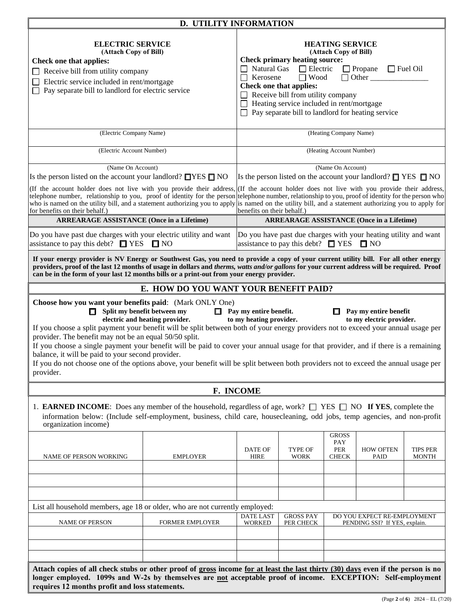| <b>D. UTILITY INFORMATION</b>                                                                                                                                                                                                                                                                                                                                                                                                                                                                                                                                                                                                                                                                                                                                                            |                                                                                                                                                                                                                                                                                                                                                                                               |                                   |                                                   |                                            |                                                                         |                                 |
|------------------------------------------------------------------------------------------------------------------------------------------------------------------------------------------------------------------------------------------------------------------------------------------------------------------------------------------------------------------------------------------------------------------------------------------------------------------------------------------------------------------------------------------------------------------------------------------------------------------------------------------------------------------------------------------------------------------------------------------------------------------------------------------|-----------------------------------------------------------------------------------------------------------------------------------------------------------------------------------------------------------------------------------------------------------------------------------------------------------------------------------------------------------------------------------------------|-----------------------------------|---------------------------------------------------|--------------------------------------------|-------------------------------------------------------------------------|---------------------------------|
| <b>ELECTRIC SERVICE</b><br>(Attach Copy of Bill)<br><b>Check one that applies:</b><br>Receive bill from utility company<br>Electric service included in rent/mortgage<br>Pay separate bill to landlord for electric service                                                                                                                                                                                                                                                                                                                                                                                                                                                                                                                                                              | <b>HEATING SERVICE</b><br>(Attach Copy of Bill)<br><b>Check primary heating source:</b><br>$\Box$ Natural Gas $\Box$ Electric<br>$\Box$ Propane<br>$\Box$ Fuel Oil<br>$\Box$ Other<br>$\Box$ Wood<br>$\Box$ Kerosene<br><b>Check one that applies:</b><br>Receive bill from utility company<br>Heating service included in rent/mortgage<br>Pay separate bill to landlord for heating service |                                   |                                                   |                                            |                                                                         |                                 |
| (Electric Company Name)                                                                                                                                                                                                                                                                                                                                                                                                                                                                                                                                                                                                                                                                                                                                                                  |                                                                                                                                                                                                                                                                                                                                                                                               |                                   |                                                   | (Heating Company Name)                     |                                                                         |                                 |
| (Electric Account Number)                                                                                                                                                                                                                                                                                                                                                                                                                                                                                                                                                                                                                                                                                                                                                                |                                                                                                                                                                                                                                                                                                                                                                                               |                                   |                                                   | (Heating Account Number)                   |                                                                         |                                 |
| (Name On Account)<br>Is the person listed on the account your landlord? $\Box$ YES $\Box$ NO                                                                                                                                                                                                                                                                                                                                                                                                                                                                                                                                                                                                                                                                                             |                                                                                                                                                                                                                                                                                                                                                                                               |                                   |                                                   | (Name On Account)                          | Is the person listed on the account your landlord? $\Box$ YES $\Box$ NO |                                 |
| (If the account holder does not live with you provide their address, (If the account holder does not live with you provide their address,<br>telephone number, relationship to you, proof of identity for the person telephone number, relationship to you, proof of identity for the person who<br>who is named on the utility bill, and a statement authorizing you to apply is named on the utility bill, and a statement authorizing you to apply for<br>for benefits on their behalf.)                                                                                                                                                                                                                                                                                              |                                                                                                                                                                                                                                                                                                                                                                                               | benefits on their behalf.)        |                                                   |                                            |                                                                         |                                 |
| <b>ARREARAGE ASSISTANCE (Once in a Lifetime)</b>                                                                                                                                                                                                                                                                                                                                                                                                                                                                                                                                                                                                                                                                                                                                         |                                                                                                                                                                                                                                                                                                                                                                                               |                                   |                                                   |                                            | <b>ARREARAGE ASSISTANCE (Once in a Lifetime)</b>                        |                                 |
| Do you have past due charges with your electric utility and want<br>assistance to pay this debt? $\Box$ YES $\Box$ NO                                                                                                                                                                                                                                                                                                                                                                                                                                                                                                                                                                                                                                                                    |                                                                                                                                                                                                                                                                                                                                                                                               |                                   | assistance to pay this debt? $\Box$ YES $\Box$ NO |                                            | Do you have past due charges with your heating utility and want         |                                 |
| If your energy provider is NV Energy or Southwest Gas, you need to provide a copy of your current utility bill. For all other energy<br>providers, proof of the last 12 months of usage in dollars and therms, watts and/or gallons for your current address will be required. Proof<br>can be in the form of your last 12 months bills or a print-out from your energy provider.                                                                                                                                                                                                                                                                                                                                                                                                        |                                                                                                                                                                                                                                                                                                                                                                                               |                                   |                                                   |                                            |                                                                         |                                 |
|                                                                                                                                                                                                                                                                                                                                                                                                                                                                                                                                                                                                                                                                                                                                                                                          | E. HOW DO YOU WANT YOUR BENEFIT PAID?                                                                                                                                                                                                                                                                                                                                                         |                                   |                                                   |                                            |                                                                         |                                 |
| Choose how you want your benefits paid: (Mark ONLY One)<br>Split my benefit between my<br>$\Box$ Pay my entire benefit.<br>Pay my entire benefit<br>to my heating provider.<br>to my electric provider.<br>electric and heating provider.<br>If you choose a split payment your benefit will be split between both of your energy providers not to exceed your annual usage per<br>provider. The benefit may not be an equal 50/50 split.<br>If you choose a single payment your benefit will be paid to cover your annual usage for that provider, and if there is a remaining<br>balance, it will be paid to your second provider.<br>If you do not choose one of the options above, your benefit will be split between both providers not to exceed the annual usage per<br>provider. |                                                                                                                                                                                                                                                                                                                                                                                               |                                   |                                                   |                                            |                                                                         |                                 |
|                                                                                                                                                                                                                                                                                                                                                                                                                                                                                                                                                                                                                                                                                                                                                                                          |                                                                                                                                                                                                                                                                                                                                                                                               | F. INCOME                         |                                                   |                                            |                                                                         |                                 |
| 1. <b>EARNED INCOME</b> : Does any member of the household, regardless of age, work? $\Box$ YES $\Box$ NO If YES, complete the<br>information below: (Include self-employment, business, child care, housecleaning, odd jobs, temp agencies, and non-profit<br>organization income)<br><b>NAME OF PERSON WORKING</b>                                                                                                                                                                                                                                                                                                                                                                                                                                                                     | <b>EMPLOYER</b>                                                                                                                                                                                                                                                                                                                                                                               | DATE OF<br><b>HIRE</b>            | TYPE OF<br><b>WORK</b>                            | <b>GROSS</b><br>PAY<br>PER<br><b>CHECK</b> | <b>HOW OFTEN</b><br>PAID                                                | <b>TIPS PER</b><br><b>MONTH</b> |
| List all household members, age 18 or older, who are not currently employed:                                                                                                                                                                                                                                                                                                                                                                                                                                                                                                                                                                                                                                                                                                             |                                                                                                                                                                                                                                                                                                                                                                                               |                                   |                                                   |                                            |                                                                         |                                 |
| NAME OF PERSON                                                                                                                                                                                                                                                                                                                                                                                                                                                                                                                                                                                                                                                                                                                                                                           | FORMER EMPLOYER                                                                                                                                                                                                                                                                                                                                                                               | <b>DATE LAST</b><br><b>WORKED</b> | <b>GROSS PAY</b><br>PER CHECK                     |                                            | DO YOU EXPECT RE-EMPLOYMENT<br>PENDING SSI? If YES, explain.            |                                 |
|                                                                                                                                                                                                                                                                                                                                                                                                                                                                                                                                                                                                                                                                                                                                                                                          |                                                                                                                                                                                                                                                                                                                                                                                               |                                   |                                                   |                                            |                                                                         |                                 |
| Attach copies of all check stubs or other proof of gross income for at least the last thirty (30) days even if the person is no<br>longer employed. 1099s and W-2s by themselves are not acceptable proof of income. EXCEPTION: Self-employment<br>requires 12 months profit and loss statements.                                                                                                                                                                                                                                                                                                                                                                                                                                                                                        |                                                                                                                                                                                                                                                                                                                                                                                               |                                   |                                                   |                                            |                                                                         |                                 |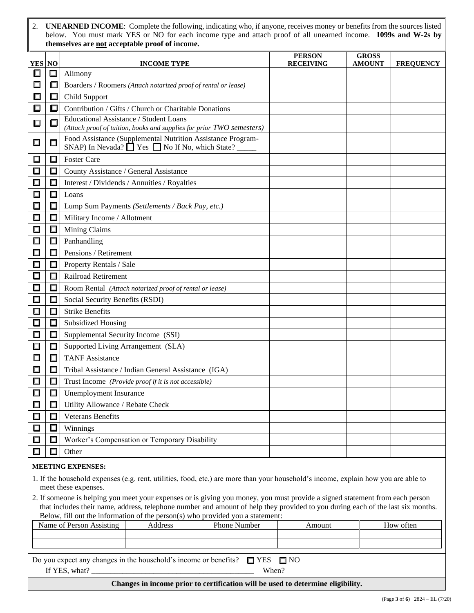2. **UNEARNED INCOME**: Complete the following, indicating who, if anyone, receives money or benefits from the sources listed below. You must mark YES or NO for each income type and attach proof of all unearned income. **1099s and W-2s by themselves are not acceptable proof of income.**

|               |        |                                                                                                                                | <b>PERSON</b>    | <b>GROSS</b>  |                  |
|---------------|--------|--------------------------------------------------------------------------------------------------------------------------------|------------------|---------------|------------------|
| <b>YES NO</b> |        | <b>INCOME TYPE</b>                                                                                                             | <b>RECEIVING</b> | <b>AMOUNT</b> | <b>FREQUENCY</b> |
| $\Box$        | 口      | Alimony                                                                                                                        |                  |               |                  |
| ப             | ⊡      | Boarders / Roomers (Attach notarized proof of rental or lease)                                                                 |                  |               |                  |
| □             | 口      | Child Support                                                                                                                  |                  |               |                  |
| $\Box$        | 口      | Contribution / Gifts / Church or Charitable Donations<br>Educational Assistance / Student Loans                                |                  |               |                  |
| ш             | $\Box$ | (Attach proof of tuition, books and supplies for prior TWO semesters)                                                          |                  |               |                  |
| □             | $\Box$ | Food Assistance (Supplemental Nutrition Assistance Program-<br>SNAP) In Nevada? $\Box$ Yes $\Box$ No If No, which State? _____ |                  |               |                  |
| $\Box$        | □      | <b>Foster Care</b>                                                                                                             |                  |               |                  |
| $\Box$        | $\Box$ | County Assistance / General Assistance                                                                                         |                  |               |                  |
| $\Box$        | $\Box$ | Interest / Dividends / Annuities / Royalties                                                                                   |                  |               |                  |
| $\Box$        | $\Box$ | Loans                                                                                                                          |                  |               |                  |
| $\Box$        | ◻      | Lump Sum Payments (Settlements / Back Pay, etc.)                                                                               |                  |               |                  |
| $\Box$        | □      | Military Income / Allotment                                                                                                    |                  |               |                  |
| $\Box$        | $\Box$ | Mining Claims                                                                                                                  |                  |               |                  |
| Ω             | $\Box$ | Panhandling                                                                                                                    |                  |               |                  |
| П             | $\Box$ | Pensions / Retirement                                                                                                          |                  |               |                  |
| 口             | $\Box$ | Property Rentals / Sale                                                                                                        |                  |               |                  |
|               | □      | <b>Railroad Retirement</b>                                                                                                     |                  |               |                  |
|               | $\Box$ | Room Rental (Attach notarized proof of rental or lease)                                                                        |                  |               |                  |
|               | □      | Social Security Benefits (RSDI)                                                                                                |                  |               |                  |
| □             | $\Box$ | <b>Strike Benefits</b>                                                                                                         |                  |               |                  |
| П             | $\Box$ | <b>Subsidized Housing</b>                                                                                                      |                  |               |                  |
| $\Box$        | □      | Supplemental Security Income (SSI)                                                                                             |                  |               |                  |
| $\Box$        | $\Box$ | Supported Living Arrangement (SLA)                                                                                             |                  |               |                  |
| $\Box$        | Ω      | <b>TANF Assistance</b>                                                                                                         |                  |               |                  |
|               | □      | Tribal Assistance / Indian General Assistance (IGA)                                                                            |                  |               |                  |
| $\Box$        | □      | Trust Income (Provide proof if it is not accessible)                                                                           |                  |               |                  |
|               |        | <b>Unemployment Insurance</b>                                                                                                  |                  |               |                  |
| □             | $\Box$ | Utility Allowance / Rebate Check                                                                                               |                  |               |                  |
| □             | $\Box$ | <b>Veterans Benefits</b>                                                                                                       |                  |               |                  |
| $\Box$        | $\Box$ | Winnings                                                                                                                       |                  |               |                  |
| $\Box$        | □      | Worker's Compensation or Temporary Disability                                                                                  |                  |               |                  |
| $\Box$        | $\Box$ | Other                                                                                                                          |                  |               |                  |
|               |        | <b>MEETING EXPENSES:</b>                                                                                                       |                  |               |                  |

#### 1. If the household expenses (e.g. rent, utilities, food, etc.) are more than your household's income, explain how you are able to meet these expenses.

2. If someone is helping you meet your expenses or is giving you money, you must provide a signed statement from each person that includes their name, address, telephone number and amount of help they provided to you during each of the last six months. Below, fill out the information of the person(s) who provided you a statement:

| Name of Person Assisting                                                              | Address | <b>Phone Number</b> | Amount | How often |  |  |  |
|---------------------------------------------------------------------------------------|---------|---------------------|--------|-----------|--|--|--|
|                                                                                       |         |                     |        |           |  |  |  |
|                                                                                       |         |                     |        |           |  |  |  |
|                                                                                       |         |                     |        |           |  |  |  |
| Do you expect any changes in the household's income or benefits? $\Box$ YES $\Box$ NO |         |                     |        |           |  |  |  |
| If YES, what?<br>When?                                                                |         |                     |        |           |  |  |  |
| Changes in income prior to certification will be used to determine eligibility.       |         |                     |        |           |  |  |  |

(Page **3** of **6**) 2824 – EL (7/20)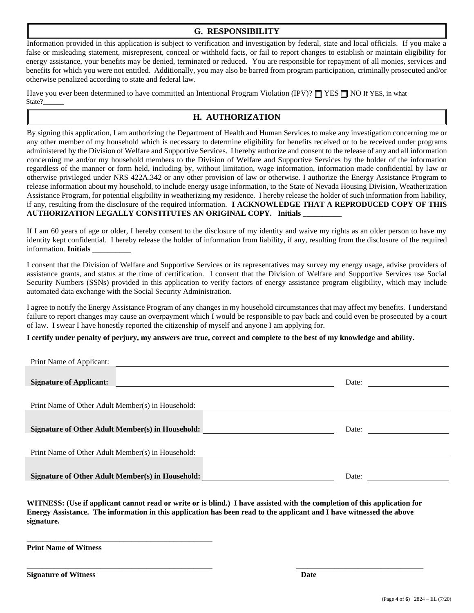#### **G. RESPONSIBILITY**

Information provided in this application is subject to verification and investigation by federal, state and local officials. If you make a false or misleading statement, misrepresent, conceal or withhold facts, or fail to report changes to establish or maintain eligibility for energy assistance, your benefits may be denied, terminated or reduced. You are responsible for repayment of all monies, services and benefits for which you were not entitled. Additionally, you may also be barred from program participation, criminally prosecuted and/or otherwise penalized according to state and federal law.

Have you ever been determined to have committed an Intentional Program Violation (IPV)?  $\Box$  YES  $\Box$  NO If YES, in what State?

### **H. AUTHORIZATION**

By signing this application, I am authorizing the Department of Health and Human Services to make any investigation concerning me or any other member of my household which is necessary to determine eligibility for benefits received or to be received under programs administered by the Division of Welfare and Supportive Services. I hereby authorize and consent to the release of any and all information concerning me and/or my household members to the Division of Welfare and Supportive Services by the holder of the information regardless of the manner or form held, including by, without limitation, wage information, information made confidential by law or otherwise privileged under NRS 422A.342 or any other provision of law or otherwise. I authorize the Energy Assistance Program to release information about my household, to include energy usage information, to the State of Nevada Housing Division, Weatherization Assistance Program, for potential eligibility in weatherizing my residence. I hereby release the holder of such information from liability, if any, resulting from the disclosure of the required information. **I ACKNOWLEDGE THAT A REPRODUCED COPY OF THIS AUTHORIZATION LEGALLY CONSTITUTES AN ORIGINAL COPY. Initials \_\_\_\_\_\_\_\_\_\_**

If I am 60 years of age or older, I hereby consent to the disclosure of my identity and waive my rights as an older person to have my identity kept confidential. I hereby release the holder of information from liability, if any, resulting from the disclosure of the required information. **Initials \_\_\_\_\_\_\_\_\_\_**

I consent that the Division of Welfare and Supportive Services or its representatives may survey my energy usage, advise providers of assistance grants, and status at the time of certification. I consent that the Division of Welfare and Supportive Services use Social Security Numbers (SSNs) provided in this application to verify factors of energy assistance program eligibility, which may include automated data exchange with the Social Security Administration.

I agree to notify the Energy Assistance Program of any changes in my household circumstances that may affect my benefits. I understand failure to report changes may cause an overpayment which I would be responsible to pay back and could even be prosecuted by a court of law. I swear I have honestly reported the citizenship of myself and anyone I am applying for.

**I certify under penalty of perjury, my answers are true, correct and complete to the best of my knowledge and ability.** 

| Print Name of Applicant:                                |       |
|---------------------------------------------------------|-------|
|                                                         |       |
| <b>Signature of Applicant:</b>                          | Date: |
|                                                         |       |
| Print Name of Other Adult Member(s) in Household:       |       |
|                                                         |       |
|                                                         |       |
| <b>Signature of Other Adult Member(s) in Household:</b> | Date: |
|                                                         |       |
| Print Name of Other Adult Member(s) in Household:       |       |
|                                                         |       |
| <b>Signature of Other Adult Member(s) in Household:</b> | Date: |

**WITNESS: (Use if applicant cannot read or write or is blind.) I have assisted with the completion of this application for Energy Assistance. The information in this application has been read to the applicant and I have witnessed the above signature.** 

**\_\_\_\_\_\_\_\_\_\_\_\_\_\_\_\_\_\_\_\_\_\_\_\_\_\_\_\_\_\_\_\_\_\_\_\_\_\_\_\_\_\_\_\_\_\_\_\_ \_\_\_\_\_\_\_\_\_\_\_\_\_\_\_\_\_\_\_\_\_\_\_\_\_\_\_\_\_\_\_\_\_**

**Print Name of Witness** 

**\_\_\_\_\_\_\_\_\_\_\_\_\_\_\_\_\_\_\_\_\_\_\_\_\_\_\_\_\_\_\_\_\_\_\_\_\_\_\_\_\_\_\_\_\_\_\_\_**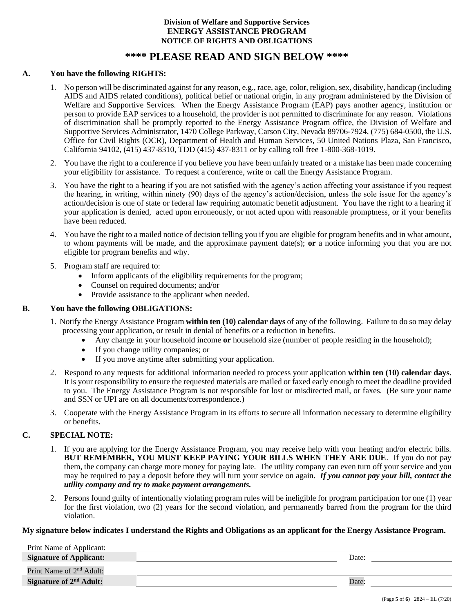#### **Division of Welfare and Supportive Services ENERGY ASSISTANCE PROGRAM NOTICE OF RIGHTS AND OBLIGATIONS**

### **\*\*\*\* PLEASE READ AND SIGN BELOW \*\*\*\***

#### **A. You have the following RIGHTS:**

- 1. No person will be discriminated against for any reason, e.g., race, age, color, religion, sex, disability, handicap (including AIDS and AIDS related conditions), political belief or national origin, in any program administered by the Division of Welfare and Supportive Services. When the Energy Assistance Program (EAP) pays another agency, institution or person to provide EAP services to a household, the provider is not permitted to discriminate for any reason. Violations of discrimination shall be promptly reported to the Energy Assistance Program office, the Division of Welfare and Supportive Services Administrator, 1470 College Parkway, Carson City, Nevada 89706-7924, (775) 684-0500, the U.S. Office for Civil Rights (OCR), Department of Health and Human Services, 50 United Nations Plaza, San Francisco, California 94102, (415) 437-8310, TDD (415) 437-8311 or by calling toll free 1-800-368-1019.
- 2. You have the right to a conference if you believe you have been unfairly treated or a mistake has been made concerning your eligibility for assistance. To request a conference, write or call the Energy Assistance Program.
- 3. You have the right to a hearing if you are not satisfied with the agency's action affecting your assistance if you request the hearing, in writing, within ninety (90) days of the agency's action/decision, unless the sole issue for the agency's action/decision is one of state or federal law requiring automatic benefit adjustment. You have the right to a hearing if your application is denied, acted upon erroneously, or not acted upon with reasonable promptness, or if your benefits have been reduced.
- 4. You have the right to a mailed notice of decision telling you if you are eligible for program benefits and in what amount, to whom payments will be made, and the approximate payment date(s); **or** a notice informing you that you are not eligible for program benefits and why.
- 5. Program staff are required to:
	- Inform applicants of the eligibility requirements for the program;
	- Counsel on required documents; and/or
	- Provide assistance to the applicant when needed.

#### **B. You have the following OBLIGATIONS:**

- 1. Notify the Energy Assistance Program **within ten (10) calendar days** of any of the following. Failure to do so may delay processing your application, or result in denial of benefits or a reduction in benefits.
	- Any change in your household income **or** household size (number of people residing in the household);
	- If you change utility companies; or
	- If you move anytime after submitting your application.
- 2. Respond to any requests for additional information needed to process your application **within ten (10) calendar days**. It is your responsibility to ensure the requested materials are mailed or faxed early enough to meet the deadline provided to you. The Energy Assistance Program is not responsible for lost or misdirected mail, or faxes. (Be sure your name and SSN or UPI are on all documents/correspondence.)
- 3. Cooperate with the Energy Assistance Program in its efforts to secure all information necessary to determine eligibility or benefits.

#### **C. SPECIAL NOTE:**

- 1. If you are applying for the Energy Assistance Program, you may receive help with your heating and/or electric bills. **BUT REMEMBER, YOU MUST KEEP PAYING YOUR BILLS WHEN THEY ARE DUE**. If you do not pay them, the company can charge more money for paying late. The utility company can even turn off your service and you may be required to pay a deposit before they will turn your service on again. *If you cannot pay your bill, contact the utility company and try to make payment arrangements.*
- 2. Persons found guilty of intentionally violating program rules will be ineligible for program participation for one (1) year for the first violation, two (2) years for the second violation, and permanently barred from the program for the third violation.

#### **My signature below indicates I understand the Rights and Obligations as an applicant for the Energy Assistance Program.**

| Print Name of Applicant:             |       |
|--------------------------------------|-------|
| <b>Signature of Applicant:</b>       | Date: |
| Print Name of 2 <sup>nd</sup> Adult: |       |
| Signature of 2 <sup>nd</sup> Adult:  | Date: |